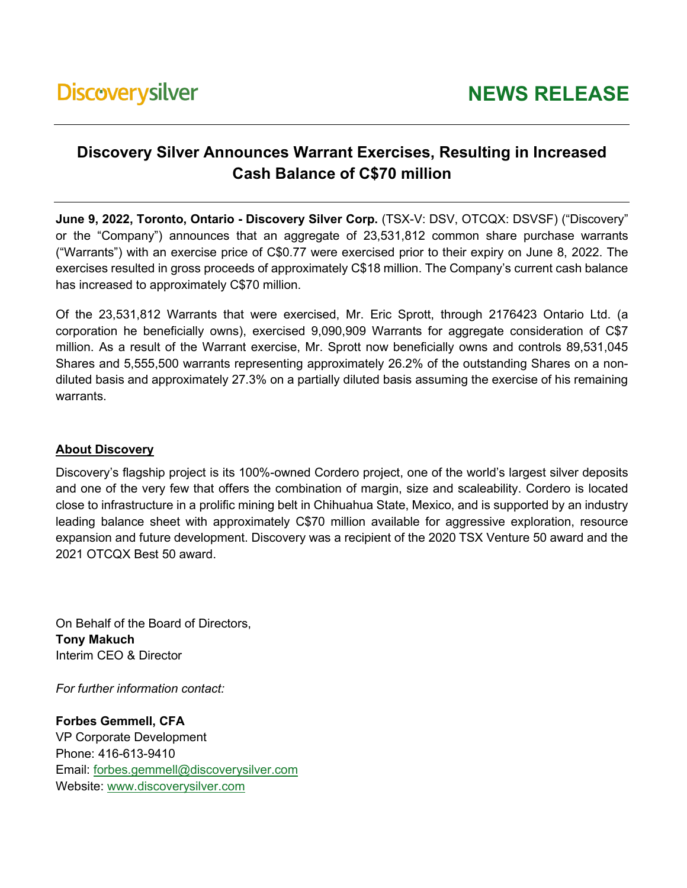## **Discovery Silver Announces Warrant Exercises, Resulting in Increased Cash Balance of C\$70 million**

**June 9, 2022, Toronto, Ontario - Discovery Silver Corp.** (TSX-V: DSV, OTCQX: DSVSF) ("Discovery" or the "Company") announces that an aggregate of 23,531,812 common share purchase warrants ("Warrants") with an exercise price of C\$0.77 were exercised prior to their expiry on June 8, 2022. The exercises resulted in gross proceeds of approximately C\$18 million. The Company's current cash balance has increased to approximately C\$70 million.

Of the 23,531,812 Warrants that were exercised, Mr. Eric Sprott, through 2176423 Ontario Ltd. (a corporation he beneficially owns), exercised 9,090,909 Warrants for aggregate consideration of C\$7 million. As a result of the Warrant exercise, Mr. Sprott now beneficially owns and controls 89,531,045 Shares and 5,555,500 warrants representing approximately 26.2% of the outstanding Shares on a nondiluted basis and approximately 27.3% on a partially diluted basis assuming the exercise of his remaining warrants.

## **About Discovery**

Discovery's flagship project is its 100%-owned Cordero project, one of the world's largest silver deposits and one of the very few that offers the combination of margin, size and scaleability. Cordero is located close to infrastructure in a prolific mining belt in Chihuahua State, Mexico, and is supported by an industry leading balance sheet with approximately C\$70 million available for aggressive exploration, resource expansion and future development. Discovery was a recipient of the 2020 TSX Venture 50 award and the 2021 OTCQX Best 50 award.

On Behalf of the Board of Directors, **Tony Makuch** Interim CEO & Director

*For further information contact:* 

**Forbes Gemmell, CFA** VP Corporate Development Phone: 416-613-9410 Email: [forbes.gemmell@discoverysilver.com](mailto:forbes.gemmell@discoverysilver.com) Website: [www.discoverysilver.com](http://www.discoverysilver.com/)